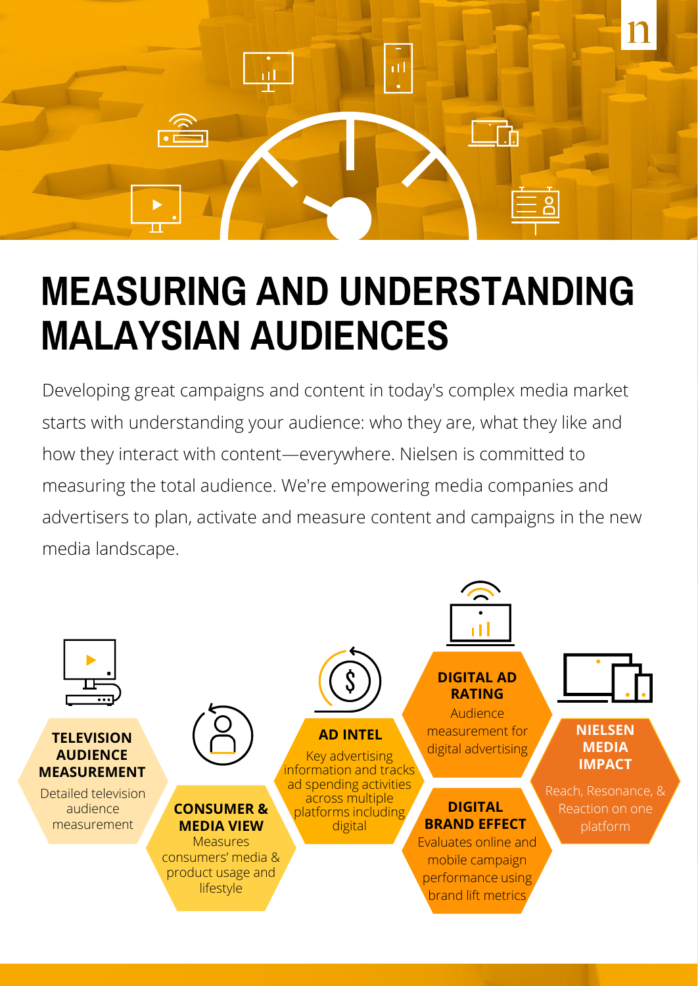

## **MEASURING AND UNDERSTANDING MALAYSIAN AUDIENCES**

Developing great campaigns and content in today's complex media market starts with understanding your audience: who they are, what they like and how they interact with content—everywhere. Nielsen is committed to measuring the total audience. We're empowering media companies and advertisers to plan, activate and measure content and campaigns in the new media landscape.